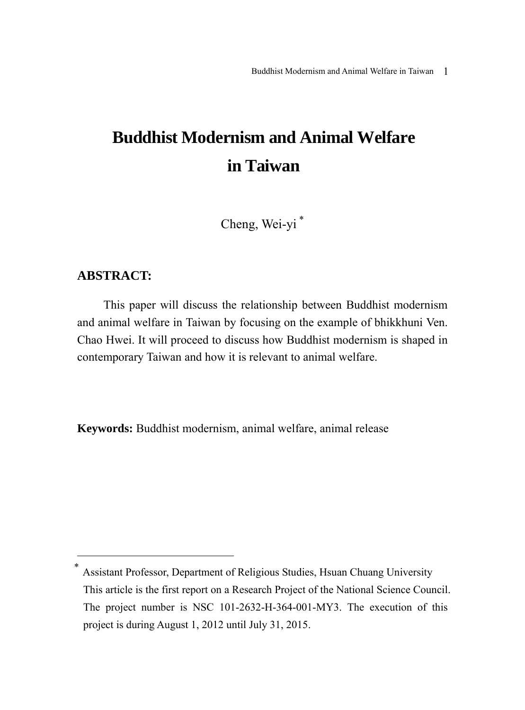# **Buddhist Modernism and Animal Welfare in Taiwan**

Cheng, Wei-yi <sup>∗</sup>

#### **ABSTRACT:**

 $\overline{a}$ 

This paper will discuss the relationship between Buddhist modernism and animal welfare in Taiwan by focusing on the example of bhikkhuni Ven. Chao Hwei. It will proceed to discuss how Buddhist modernism is shaped in contemporary Taiwan and how it is relevant to animal welfare.

**Keywords:** Buddhist modernism, animal welfare, animal release

<sup>∗</sup> Assistant Professor, Department of Religious Studies, Hsuan Chuang University This article is the first report on a Research Project of the National Science Council. The project number is NSC 101-2632-H-364-001-MY3. The execution of this project is during August 1, 2012 until July 31, 2015.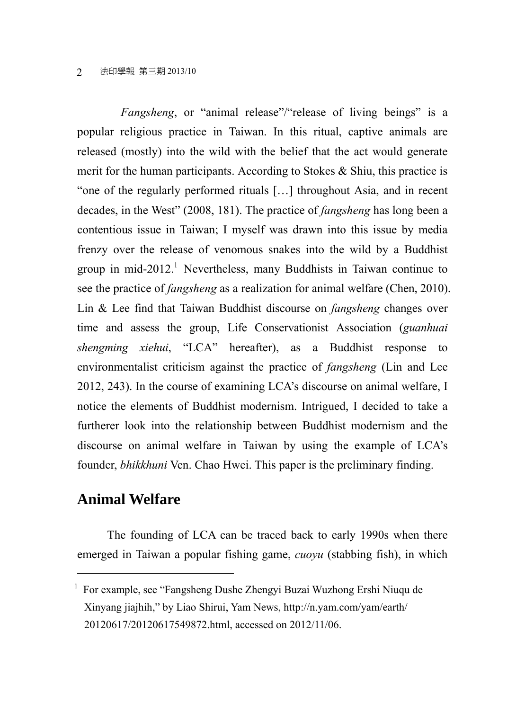*Fangsheng*, or "animal release"/"release of living beings" is a popular religious practice in Taiwan. In this ritual, captive animals are released (mostly) into the wild with the belief that the act would generate merit for the human participants. According to Stokes & Shiu, this practice is "one of the regularly performed rituals […] throughout Asia, and in recent decades, in the West" (2008, 181). The practice of *fangsheng* has long been a contentious issue in Taiwan; I myself was drawn into this issue by media frenzy over the release of venomous snakes into the wild by a Buddhist group in mid-2012.<sup>1</sup> Nevertheless, many Buddhists in Taiwan continue to see the practice of *fangsheng* as a realization for animal welfare (Chen, 2010). Lin & Lee find that Taiwan Buddhist discourse on *fangsheng* changes over time and assess the group, Life Conservationist Association (*guanhuai shengming xiehui*, "LCA" hereafter), as a Buddhist response to environmentalist criticism against the practice of *fangsheng* (Lin and Lee 2012, 243). In the course of examining LCA's discourse on animal welfare, I notice the elements of Buddhist modernism. Intrigued, I decided to take a furtherer look into the relationship between Buddhist modernism and the discourse on animal welfare in Taiwan by using the example of LCA's founder, *bhikkhuni* Ven. Chao Hwei. This paper is the preliminary finding.

# **Animal Welfare**

 $\overline{a}$ 

The founding of LCA can be traced back to early 1990s when there emerged in Taiwan a popular fishing game, *cuoyu* (stabbing fish), in which

<sup>&</sup>lt;sup>1</sup> For example, see "Fangsheng Dushe Zhengyi Buzai Wuzhong Ershi Niuqu de Xinyang jiajhih," by Liao Shirui, Yam News, http://n.yam.com/yam/earth/ 20120617/20120617549872.html, accessed on 2012/11/06.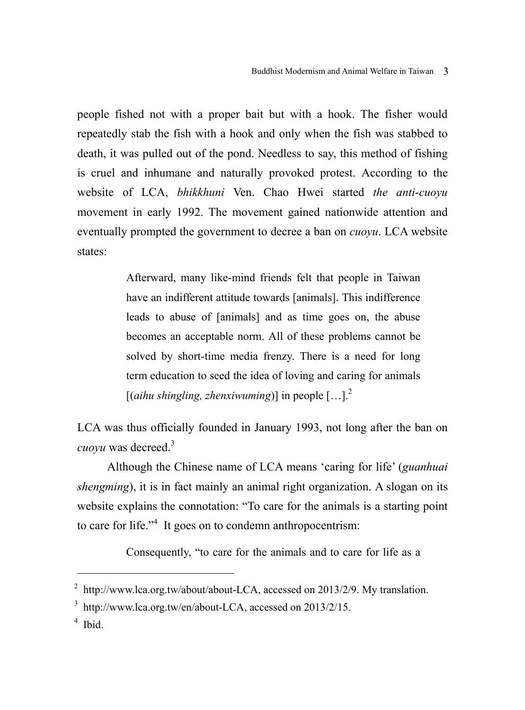people fished not with a proper bait but with a hook. The fisher would repeatedly stab the fish with a hook and only when the fish was stabbed to death, it was pulled out of the pond. Needless to say, this method of fishing is cruel and inhumane and naturally provoked protest. According to the website of LCA, *bhikkhuni* Ven. Chao Hwei started *the anti*-*cuoyu* movement in early 1992. The movement gained nationwide attention and eventually prompted the government to decree a ban on *cuoyu*. LCA website states:

> Afterward, many like-mind friends felt that people in Taiwan have an indifferent attitude towards [animals]. This indifference leads to abuse of [animals] and as time goes on, the abuse becomes an acceptable norm. All of these problems cannot be solved by short-time media frenzy. There is a need for long term education to seed the idea of loving and caring for animals  $[(aihu)$  shingling, zhenxiwuming<sup> $)]$ </sup> in people  $[...]^2$

LCA was thus officially founded in January 1993, not long after the ban on *cuoyu* was decreed.<sup>3</sup>

Although the Chinese name of LCA means 'caring for life' (*guanhuai shengming*), it is in fact mainly an animal right organization. A slogan on its website explains the connotation: "To care for the animals is a starting point to care for life."<sup>4</sup> It goes on to condemn anthropocentrism:

Consequently, "to care for the animals and to care for life as a

 $\overline{a}$ 

 $^{2}$  http://www.lca.org.tw/about/about-LCA, accessed on 2013/2/9. My translation.

<sup>&</sup>lt;sup>3</sup> http://www.lca.org.tw/en/about-LCA, accessed on 2013/2/15.

<sup>4</sup> Ibid.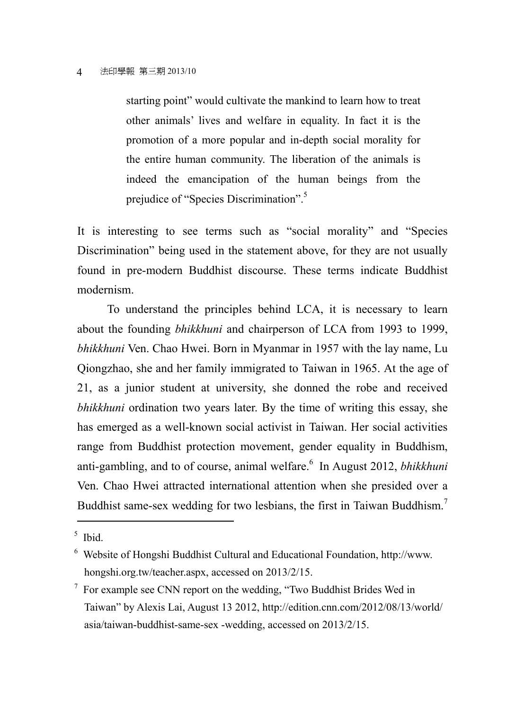starting point" would cultivate the mankind to learn how to treat other animals' lives and welfare in equality. In fact it is the promotion of a more popular and in-depth social morality for the entire human community. The liberation of the animals is indeed the emancipation of the human beings from the prejudice of "Species Discrimination".<sup>5</sup>

It is interesting to see terms such as "social morality" and "Species Discrimination" being used in the statement above, for they are not usually found in pre-modern Buddhist discourse. These terms indicate Buddhist modernism.

To understand the principles behind LCA, it is necessary to learn about the founding *bhikkhuni* and chairperson of LCA from 1993 to 1999, *bhikkhuni* Ven. Chao Hwei. Born in Myanmar in 1957 with the lay name, Lu Qiongzhao, she and her family immigrated to Taiwan in 1965. At the age of 21, as a junior student at university, she donned the robe and received *bhikkhuni* ordination two years later. By the time of writing this essay, she has emerged as a well-known social activist in Taiwan. Her social activities range from Buddhist protection movement, gender equality in Buddhism, anti-gambling, and to of course, animal welfare.<sup>6</sup> In August 2012, *bhikkhuni* Ven. Chao Hwei attracted international attention when she presided over a Buddhist same-sex wedding for two lesbians, the first in Taiwan Buddhism.<sup>7</sup>

 $\overline{a}$ 

<sup>5</sup> Ibid.

<sup>6</sup> Website of Hongshi Buddhist Cultural and Educational Foundation, http://www. hongshi.org.tw/teacher.aspx, accessed on 2013/2/15.

 $7$  For example see CNN report on the wedding, "Two Buddhist Brides Wed in Taiwan" by Alexis Lai, August 13 2012, http://edition.cnn.com/2012/08/13/world/ asia/taiwan-buddhist-same-sex -wedding, accessed on 2013/2/15.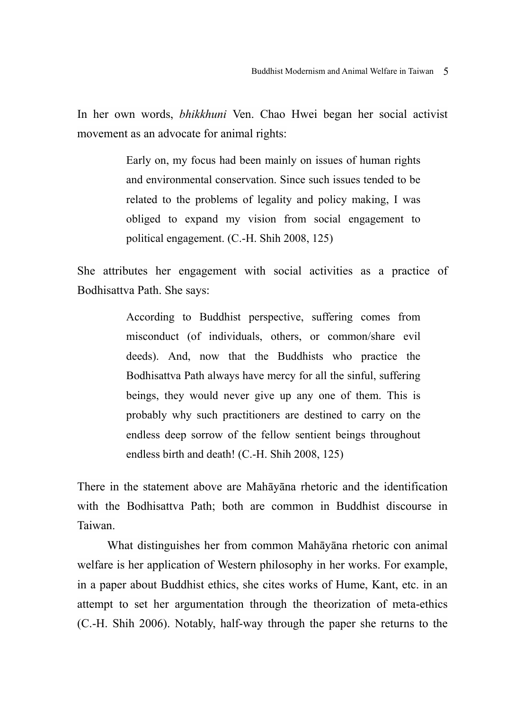In her own words, *bhikkhuni* Ven. Chao Hwei began her social activist movement as an advocate for animal rights:

> Early on, my focus had been mainly on issues of human rights and environmental conservation. Since such issues tended to be related to the problems of legality and policy making, I was obliged to expand my vision from social engagement to political engagement. (C.-H. Shih 2008, 125)

She attributes her engagement with social activities as a practice of Bodhisattva Path. She says:

> According to Buddhist perspective, suffering comes from misconduct (of individuals, others, or common/share evil deeds). And, now that the Buddhists who practice the Bodhisattva Path always have mercy for all the sinful, suffering beings, they would never give up any one of them. This is probably why such practitioners are destined to carry on the endless deep sorrow of the fellow sentient beings throughout endless birth and death! (C.-H. Shih 2008, 125)

There in the statement above are Mahāyāna rhetoric and the identification with the Bodhisattva Path; both are common in Buddhist discourse in Taiwan.

What distinguishes her from common Mahāyāna rhetoric con animal welfare is her application of Western philosophy in her works. For example, in a paper about Buddhist ethics, she cites works of Hume, Kant, etc. in an attempt to set her argumentation through the theorization of meta-ethics (C.-H. Shih 2006). Notably, half-way through the paper she returns to the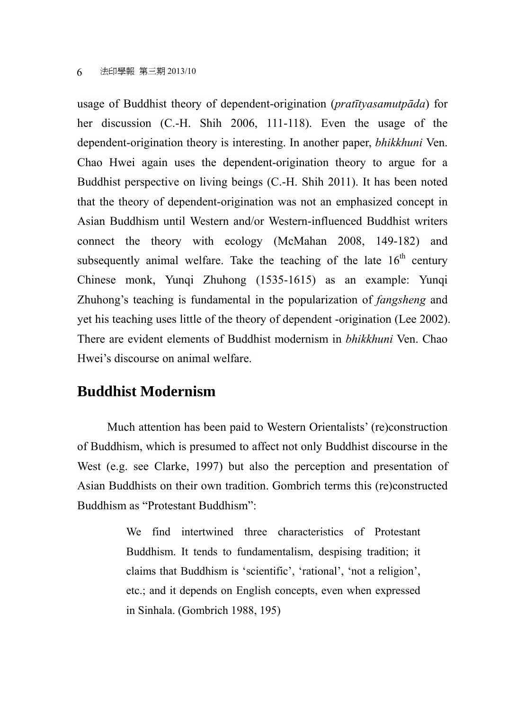#### 6 法印學報 第三期 2013/10

usage of Buddhist theory of dependent-origination (*pratītyasamutpāda*) for her discussion (C.-H. Shih 2006, 111-118). Even the usage of the dependent-origination theory is interesting. In another paper, *bhikkhuni* Ven. Chao Hwei again uses the dependent-origination theory to argue for a Buddhist perspective on living beings (C.-H. Shih 2011). It has been noted that the theory of dependent-origination was not an emphasized concept in Asian Buddhism until Western and/or Western-influenced Buddhist writers connect the theory with ecology (McMahan 2008, 149-182) and subsequently animal welfare. Take the teaching of the late  $16<sup>th</sup>$  century Chinese monk, Yunqi Zhuhong (1535-1615) as an example: Yunqi Zhuhong's teaching is fundamental in the popularization of *fangsheng* and yet his teaching uses little of the theory of dependent -origination (Lee 2002). There are evident elements of Buddhist modernism in *bhikkhuni* Ven. Chao Hwei's discourse on animal welfare.

### **Buddhist Modernism**

Much attention has been paid to Western Orientalists' (re)construction of Buddhism, which is presumed to affect not only Buddhist discourse in the West (e.g. see Clarke, 1997) but also the perception and presentation of Asian Buddhists on their own tradition. Gombrich terms this (re)constructed Buddhism as "Protestant Buddhism":

> We find intertwined three characteristics of Protestant Buddhism. It tends to fundamentalism, despising tradition; it claims that Buddhism is 'scientific', 'rational', 'not a religion', etc.; and it depends on English concepts, even when expressed in Sinhala. (Gombrich 1988, 195)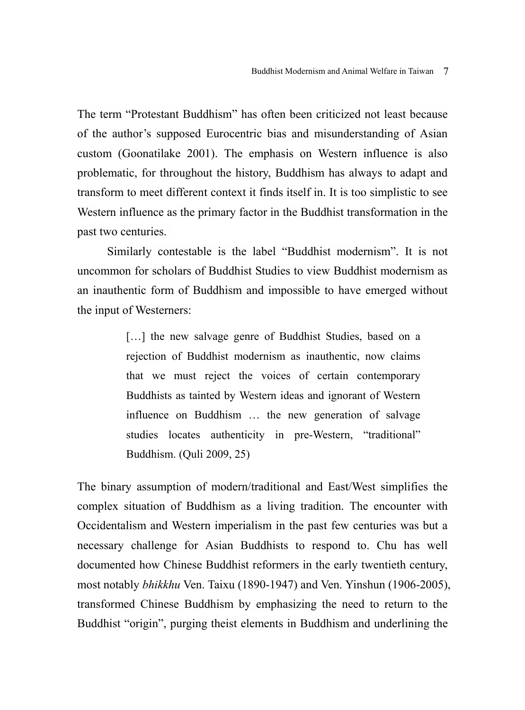The term "Protestant Buddhism" has often been criticized not least because of the author's supposed Eurocentric bias and misunderstanding of Asian custom (Goonatilake 2001). The emphasis on Western influence is also problematic, for throughout the history, Buddhism has always to adapt and transform to meet different context it finds itself in. It is too simplistic to see Western influence as the primary factor in the Buddhist transformation in the past two centuries.

Similarly contestable is the label "Buddhist modernism". It is not uncommon for scholars of Buddhist Studies to view Buddhist modernism as an inauthentic form of Buddhism and impossible to have emerged without the input of Westerners:

> [...] the new salvage genre of Buddhist Studies, based on a rejection of Buddhist modernism as inauthentic, now claims that we must reject the voices of certain contemporary Buddhists as tainted by Western ideas and ignorant of Western influence on Buddhism … the new generation of salvage studies locates authenticity in pre-Western, "traditional" Buddhism. (Quli 2009, 25)

The binary assumption of modern/traditional and East/West simplifies the complex situation of Buddhism as a living tradition. The encounter with Occidentalism and Western imperialism in the past few centuries was but a necessary challenge for Asian Buddhists to respond to. Chu has well documented how Chinese Buddhist reformers in the early twentieth century, most notably *bhikkhu* Ven. Taixu (1890-1947) and Ven. Yinshun (1906-2005), transformed Chinese Buddhism by emphasizing the need to return to the Buddhist "origin", purging theist elements in Buddhism and underlining the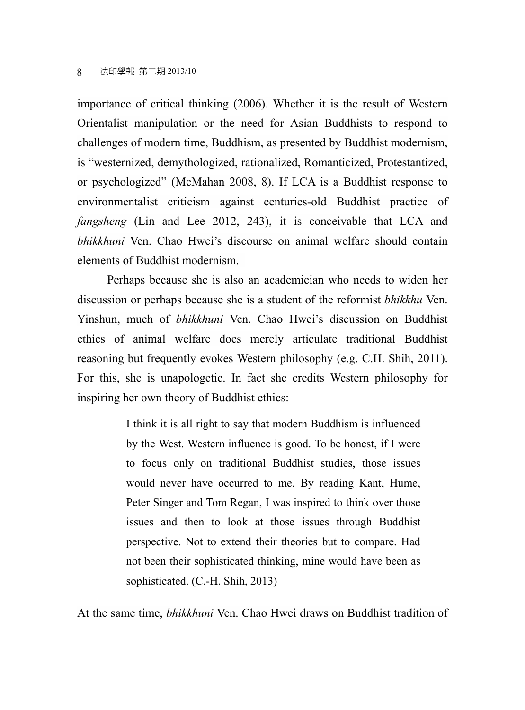importance of critical thinking (2006). Whether it is the result of Western Orientalist manipulation or the need for Asian Buddhists to respond to challenges of modern time, Buddhism, as presented by Buddhist modernism, is "westernized, demythologized, rationalized, Romanticized, Protestantized, or psychologized" (McMahan 2008, 8). If LCA is a Buddhist response to environmentalist criticism against centuries-old Buddhist practice of *fangsheng* (Lin and Lee 2012, 243), it is conceivable that LCA and *bhikkhuni* Ven. Chao Hwei's discourse on animal welfare should contain elements of Buddhist modernism.

Perhaps because she is also an academician who needs to widen her discussion or perhaps because she is a student of the reformist *bhikkhu* Ven. Yinshun, much of *bhikkhuni* Ven. Chao Hwei's discussion on Buddhist ethics of animal welfare does merely articulate traditional Buddhist reasoning but frequently evokes Western philosophy (e.g. C.H. Shih, 2011). For this, she is unapologetic. In fact she credits Western philosophy for inspiring her own theory of Buddhist ethics:

> I think it is all right to say that modern Buddhism is influenced by the West. Western influence is good. To be honest, if I were to focus only on traditional Buddhist studies, those issues would never have occurred to me. By reading Kant, Hume, Peter Singer and Tom Regan, I was inspired to think over those issues and then to look at those issues through Buddhist perspective. Not to extend their theories but to compare. Had not been their sophisticated thinking, mine would have been as sophisticated. (C.-H. Shih, 2013)

At the same time, *bhikkhuni* Ven. Chao Hwei draws on Buddhist tradition of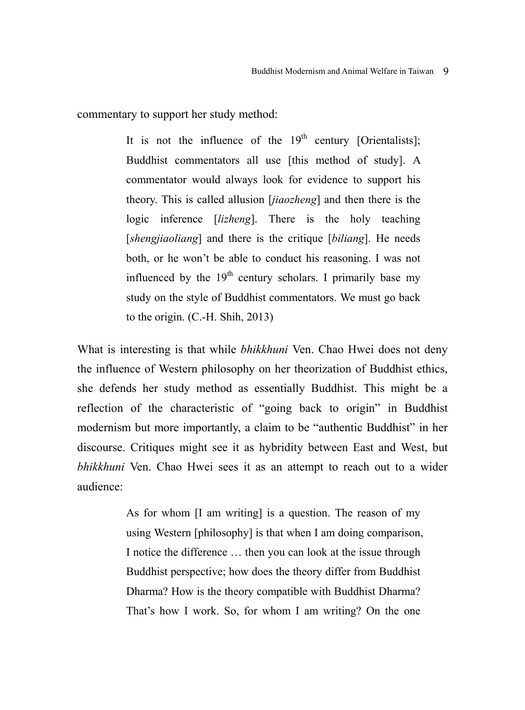commentary to support her study method:

It is not the influence of the  $19<sup>th</sup>$  century [Orientalists]; Buddhist commentators all use [this method of study]. A commentator would always look for evidence to support his theory. This is called allusion [*jiaozheng*] and then there is the logic inference [*lizheng*]. There is the holy teaching [*shengjiaoliang*] and there is the critique [*biliang*]. He needs both, or he won't be able to conduct his reasoning. I was not influenced by the  $19<sup>th</sup>$  century scholars. I primarily base my study on the style of Buddhist commentators. We must go back to the origin. (C.-H. Shih, 2013)

What is interesting is that while *bhikkhuni* Ven. Chao Hwei does not deny the influence of Western philosophy on her theorization of Buddhist ethics, she defends her study method as essentially Buddhist. This might be a reflection of the characteristic of "going back to origin" in Buddhist modernism but more importantly, a claim to be "authentic Buddhist" in her discourse. Critiques might see it as hybridity between East and West, but *bhikkhuni* Ven. Chao Hwei sees it as an attempt to reach out to a wider audience:

> As for whom [I am writing] is a question. The reason of my using Western [philosophy] is that when I am doing comparison, I notice the difference … then you can look at the issue through Buddhist perspective; how does the theory differ from Buddhist Dharma? How is the theory compatible with Buddhist Dharma? That's how I work. So, for whom I am writing? On the one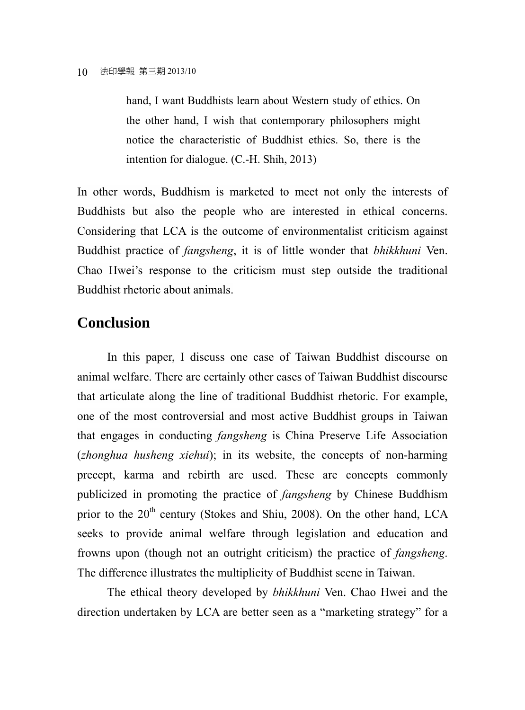hand, I want Buddhists learn about Western study of ethics. On the other hand, I wish that contemporary philosophers might notice the characteristic of Buddhist ethics. So, there is the intention for dialogue. (C.-H. Shih, 2013)

In other words, Buddhism is marketed to meet not only the interests of Buddhists but also the people who are interested in ethical concerns. Considering that LCA is the outcome of environmentalist criticism against Buddhist practice of *fangsheng*, it is of little wonder that *bhikkhuni* Ven. Chao Hwei's response to the criticism must step outside the traditional Buddhist rhetoric about animals.

## **Conclusion**

In this paper, I discuss one case of Taiwan Buddhist discourse on animal welfare. There are certainly other cases of Taiwan Buddhist discourse that articulate along the line of traditional Buddhist rhetoric. For example, one of the most controversial and most active Buddhist groups in Taiwan that engages in conducting *fangsheng* is China Preserve Life Association (*zhonghua husheng xiehui*); in its website, the concepts of non-harming precept, karma and rebirth are used. These are concepts commonly publicized in promoting the practice of *fangsheng* by Chinese Buddhism prior to the 20<sup>th</sup> century (Stokes and Shiu, 2008). On the other hand, LCA seeks to provide animal welfare through legislation and education and frowns upon (though not an outright criticism) the practice of *fangsheng*. The difference illustrates the multiplicity of Buddhist scene in Taiwan.

The ethical theory developed by *bhikkhuni* Ven. Chao Hwei and the direction undertaken by LCA are better seen as a "marketing strategy" for a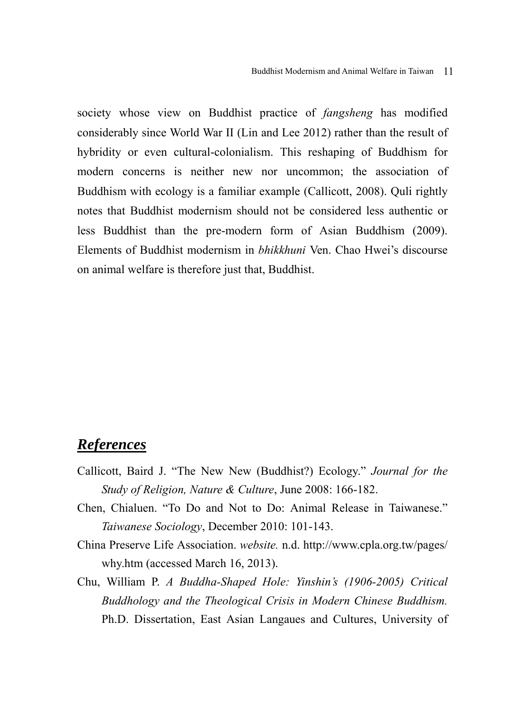society whose view on Buddhist practice of *fangsheng* has modified considerably since World War II (Lin and Lee 2012) rather than the result of hybridity or even cultural-colonialism. This reshaping of Buddhism for modern concerns is neither new nor uncommon; the association of Buddhism with ecology is a familiar example (Callicott, 2008). Quli rightly notes that Buddhist modernism should not be considered less authentic or less Buddhist than the pre-modern form of Asian Buddhism (2009). Elements of Buddhist modernism in *bhikkhuni* Ven. Chao Hwei's discourse on animal welfare is therefore just that, Buddhist.

## *References*

- Callicott, Baird J. "The New New (Buddhist?) Ecology." *Journal for the Study of Religion, Nature & Culture*, June 2008: 166-182.
- Chen, Chialuen. "To Do and Not to Do: Animal Release in Taiwanese." *Taiwanese Sociology*, December 2010: 101-143.
- China Preserve Life Association. *website.* n.d. http://www.cpla.org.tw/pages/ why.htm (accessed March 16, 2013).
- Chu, William P. *A Buddha-Shaped Hole: Yinshin's (1906-2005) Critical Buddhology and the Theological Crisis in Modern Chinese Buddhism.* Ph.D. Dissertation, East Asian Langaues and Cultures, University of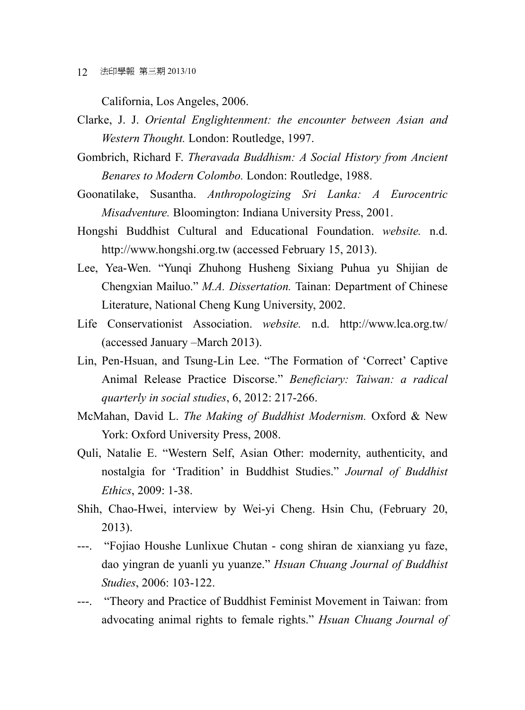12 法印學報 第三期 2013/10

California, Los Angeles, 2006.

- Clarke, J. J. *Oriental Englightenment: the encounter between Asian and Western Thought.* London: Routledge, 1997.
- Gombrich, Richard F. *Theravada Buddhism: A Social History from Ancient Benares to Modern Colombo.* London: Routledge, 1988.
- Goonatilake, Susantha. *Anthropologizing Sri Lanka: A Eurocentric Misadventure.* Bloomington: Indiana University Press, 2001.
- Hongshi Buddhist Cultural and Educational Foundation. *website.* n.d. http://www.hongshi.org.tw (accessed February 15, 2013).
- Lee, Yea-Wen. "Yunqi Zhuhong Husheng Sixiang Puhua yu Shijian de Chengxian Mailuo." *M.A. Dissertation.* Tainan: Department of Chinese Literature, National Cheng Kung University, 2002.
- Life Conservationist Association. *website.* n.d. http://www.lca.org.tw/ (accessed January –March 2013).
- Lin, Pen-Hsuan, and Tsung-Lin Lee. "The Formation of 'Correct' Captive Animal Release Practice Discorse." *Beneficiary: Taiwan: a radical quarterly in social studies*, 6, 2012: 217-266.
- McMahan, David L. *The Making of Buddhist Modernism.* Oxford & New York: Oxford University Press, 2008.
- Quli, Natalie E. "Western Self, Asian Other: modernity, authenticity, and nostalgia for 'Tradition' in Buddhist Studies." *Journal of Buddhist Ethics*, 2009: 1-38.
- Shih, Chao-Hwei, interview by Wei-yi Cheng. Hsin Chu, (February 20, 2013).
- ---. "Fojiao Houshe Lunlixue Chutan cong shiran de xianxiang yu faze, dao yingran de yuanli yu yuanze." *Hsuan Chuang Journal of Buddhist Studies*, 2006: 103-122.
- ---. "Theory and Practice of Buddhist Feminist Movement in Taiwan: from advocating animal rights to female rights." *Hsuan Chuang Journal of*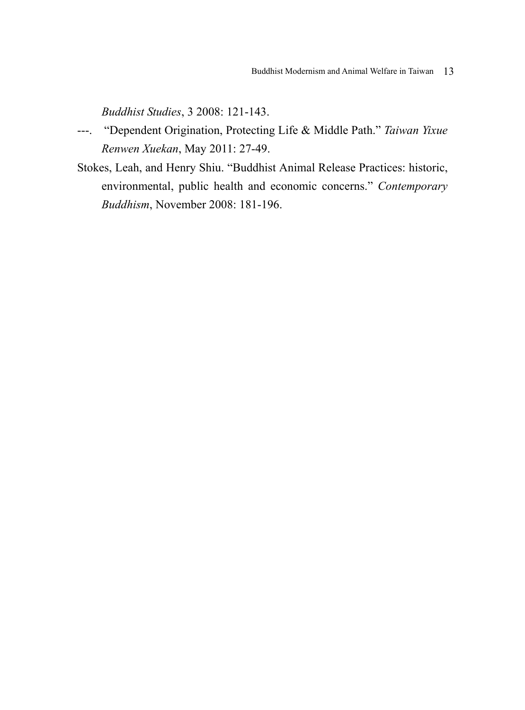*Buddhist Studies*, 3 2008: 121-143.

- ---. "Dependent Origination, Protecting Life & Middle Path." *Taiwan Yixue Renwen Xuekan*, May 2011: 27-49.
- Stokes, Leah, and Henry Shiu. "Buddhist Animal Release Practices: historic, environmental, public health and economic concerns." *Contemporary Buddhism*, November 2008: 181-196.